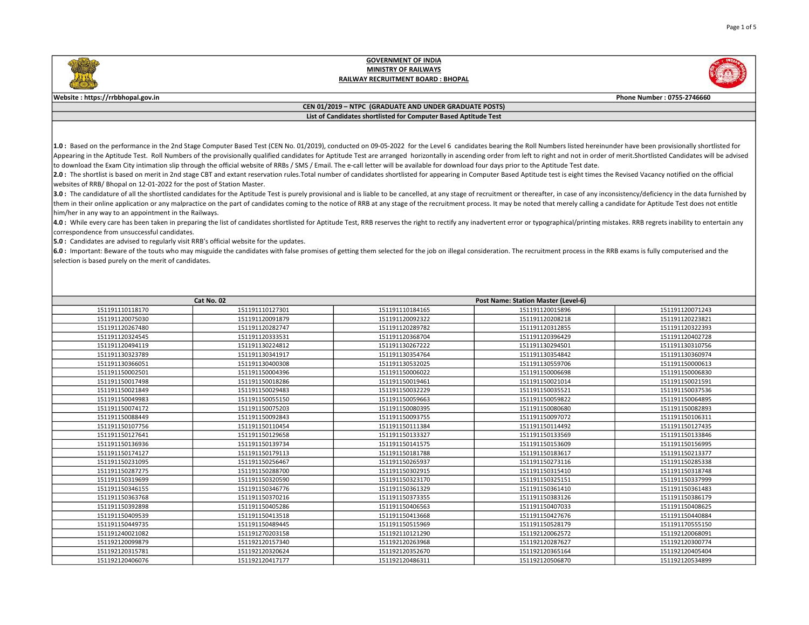### Website : https://rrbbhopal.gov.in Phone Number : 0755-2746660

### CEN 01/2019 – NTPC (GRADUATE AND UNDER GRADUATE POSTS) List of Candidates shortlisted for Computer Based Aptitude Test

1.0: Based on the performance in the 2nd Stage Computer Based Test (CEN No. 01/2019), conducted on 09-05-2022 for the Level 6 candidates bearing the Roll Numbers listed hereinunder have been provisionally shortlisted for Appearing in the Aptitude Test. Roll Numbers of the provisionally qualified candidates for Aptitude Test are arranged horizontally in ascending order from left to right and not in order of merit. Shortlisted Candidates wil to download the Exam City intimation slip through the official website of RRBs / SMS / Email. The e-call letter will be available for download four days prior to the Aptitude Test date.

2.0: The shortlist is based on merit in 2nd stage CBT and extant reservation rules. Total number of candidates shortlisted for appearing in Computer Based Aptitude test is eight times the Revised Vacancy notified on the of websites of RRB/ Bhopal on 12-01-2022 for the post of Station Master.

3.0 : The candidature of all the shortlisted candidates for the Aptitude Test is purely provisional and is liable to be cancelled, at any stage of recruitment or thereafter, in case of any inconsistency/deficiency in the d them in their online application or any malpractice on the part of candidates coming to the notice of RRB at any stage of the recruitment process. It may be noted that merely calling a candidate for Aptitude Test does not him/her in any way to an appointment in the Railways.

4.0: While every care has been taken in preparing the list of candidates shortlisted for Aptitude Test, RRB reserves the right to rectify any inadvertent error or typographical/printing mistakes. RRB regrets inability to e correspondence from unsuccessful candidates.

**5.0** : Candidates are advised to regularly visit RRB's official website for the updates.

 $6.0$ : Important: Beware of the touts who may misguide the candidates with false promises of getting them selected for the job on illegal consideration. The recruitment process in the RRB exams is fully computerised and t selection is based purely on the merit of candidates.

| Cat No. 02      |                 | <b>Post Name: Station Master (Level-6)</b> |                 |                 |
|-----------------|-----------------|--------------------------------------------|-----------------|-----------------|
| 151191110118170 | 151191110127301 | 151191110184165                            | 151191120015896 | 151191120071243 |
| 151191120075030 | 151191120091879 | 151191120092322                            | 151191120208218 | 151191120223821 |
| 151191120267480 | 151191120282747 | 151191120289782                            | 151191120312855 | 151191120322393 |
| 151191120324545 | 151191120333531 | 151191120368704                            | 151191120396429 | 151191120402728 |
| 151191120494119 | 151191130224812 | 151191130267222                            | 151191130294501 | 151191130310756 |
| 151191130323789 | 151191130341917 | 151191130354764                            | 151191130354842 | 151191130360974 |
| 151191130366051 | 151191130400308 | 151191130532025                            | 151191130559706 | 151191150000613 |
| 151191150002501 | 151191150004396 | 151191150006022                            | 151191150006698 | 151191150006830 |
| 151191150017498 | 151191150018286 | 151191150019461                            | 151191150021014 | 151191150021591 |
| 151191150021849 | 151191150029483 | 151191150032229                            | 151191150035521 | 151191150037536 |
| 151191150049983 | 151191150055150 | 151191150059663                            | 151191150059822 | 151191150064895 |
| 151191150074172 | 151191150075203 | 151191150080395                            | 151191150080680 | 151191150082893 |
| 151191150088449 | 151191150092843 | 151191150093755                            | 151191150097072 | 151191150106311 |
| 151191150107756 | 151191150110454 | 151191150111384                            | 151191150114492 | 151191150127435 |
| 151191150127641 | 151191150129658 | 151191150133327                            | 151191150133569 | 151191150133846 |
| 151191150136936 | 151191150139734 | 151191150141575                            | 151191150153609 | 151191150156995 |
| 151191150174127 | 151191150179113 | 151191150181788                            | 151191150183617 | 151191150213377 |
| 151191150231095 | 151191150256467 | 151191150265937                            | 151191150273116 | 151191150285338 |
| 151191150287275 | 151191150288700 | 151191150302915                            | 151191150315410 | 151191150318748 |
| 151191150319699 | 151191150320590 | 151191150323170                            | 151191150325151 | 151191150337999 |
| 151191150346155 | 151191150346776 | 151191150361329                            | 151191150361410 | 151191150361483 |
| 151191150363768 | 151191150370216 | 151191150373355                            | 151191150383126 | 151191150386179 |
| 151191150392898 | 151191150405286 | 151191150406563                            | 151191150407033 | 151191150408625 |
| 151191150409539 | 151191150413518 | 151191150413668                            | 151191150427676 | 151191150440884 |
| 151191150449735 | 151191150489445 | 151191150515969                            | 151191150528179 | 151191170555150 |
| 151191240021082 | 151191270203158 | 151192110121290                            | 151192120062572 | 151192120068091 |
| 151192120099879 | 151192120157340 | 151192120263968                            | 151192120287627 | 151192120300774 |
| 151192120315781 | 151192120320624 | 151192120352670                            | 151192120365164 | 151192120405404 |
| 151192120406076 | 151192120417177 | 151192120486311                            | 151192120506870 | 151192120534899 |

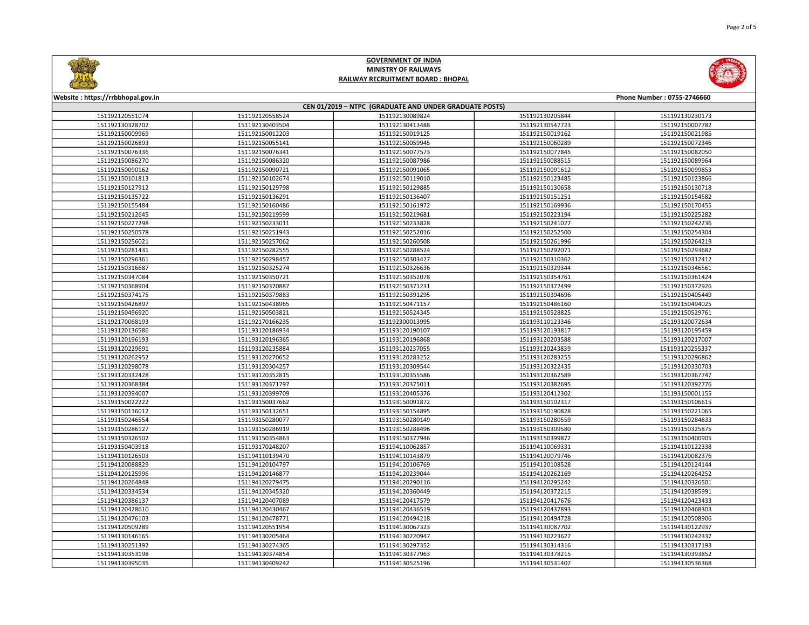

| Website: https://rrbbhopal.gov.in<br>Phone Number: 0755-2746660 |                 |                 |                 |                 |  |
|-----------------------------------------------------------------|-----------------|-----------------|-----------------|-----------------|--|
| CEN 01/2019 - NTPC (GRADUATE AND UNDER GRADUATE POSTS)          |                 |                 |                 |                 |  |
| 151192120551074                                                 | 151192120558524 | 151192130089824 | 151192130205844 | 151192130230173 |  |
| 151192130328702                                                 | 151192130403504 | 151192130413488 | 151192130547723 | 151192150007782 |  |
| 151192150009969                                                 | 151192150012203 | 151192150019125 | 151192150019162 | 151192150021985 |  |
| 151192150026893                                                 | 151192150055141 | 151192150059945 | 151192150060289 | 151192150072346 |  |
| 151192150076336                                                 | 151192150076341 | 151192150077573 | 151192150077845 | 151192150082050 |  |
| 151192150086270                                                 | 151192150086320 | 151192150087986 | 151192150088515 | 151192150089964 |  |
| 151192150090162                                                 | 151192150090721 | 151192150091065 | 151192150091612 | 151192150099853 |  |
| 151192150101813                                                 | 151192150102674 | 151192150119010 | 151192150123485 | 151192150123866 |  |
| 151192150127912                                                 | 151192150129798 | 151192150129885 | 151192150130658 | 151192150130718 |  |
| 151192150135722                                                 | 151192150136291 | 151192150136407 | 151192150151251 | 151192150154582 |  |
| 151192150155484                                                 | 151192150160486 | 151192150161972 | 151192150169936 | 151192150170455 |  |
| 151192150212645                                                 | 151192150219599 | 151192150219681 | 151192150223194 | 151192150225282 |  |
| 151192150227298                                                 | 151192150233011 | 151192150233828 | 151192150241027 | 151192150242236 |  |
| 151192150250578                                                 | 151192150251943 | 151192150252016 | 151192150252500 | 151192150254304 |  |
| 151192150256021                                                 | 151192150257062 | 151192150260508 | 151192150261996 | 151192150264219 |  |
| 151192150281431                                                 | 151192150282555 | 151192150288524 | 151192150292071 | 151192150293682 |  |
| 151192150296361                                                 | 151192150298457 | 151192150303427 | 151192150310362 | 151192150312412 |  |
| 151192150316687                                                 | 151192150325274 | 151192150326636 | 151192150329344 | 151192150346561 |  |
| 151192150347084                                                 | 151192150350721 | 151192150352078 | 151192150354761 | 151192150361424 |  |
| 151192150368904                                                 | 151192150370887 | 151192150371231 | 151192150372499 | 151192150372926 |  |
| 151192150374175                                                 | 151192150379883 | 151192150391295 | 151192150394696 | 151192150405449 |  |
| 151192150426897                                                 | 151192150438965 | 151192150471157 | 151192150486160 | 151192150494025 |  |
| 151192150496920                                                 | 151192150503821 | 151192150524345 | 151192150528825 | 151192150529761 |  |
| 151192170068193                                                 | 151192170166235 | 151192300013995 | 151193110123346 | 151193120072634 |  |
| 151193120136586                                                 | 151193120186934 | 151193120190107 | 151193120193817 | 151193120195459 |  |
| 151193120196193                                                 | 151193120196365 | 151193120196868 | 151193120203588 | 151193120217007 |  |
| 151193120229691                                                 | 151193120235884 | 151193120237055 | 151193120243839 | 151193120255337 |  |
| 151193120262952                                                 | 151193120270652 | 151193120283252 | 151193120283255 | 151193120296862 |  |
| 151193120298078                                                 | 151193120304257 | 151193120309544 | 151193120322435 | 151193120330703 |  |
| 151193120332428                                                 | 151193120352815 | 151193120355586 | 151193120362589 | 151193120367747 |  |
| 151193120368384                                                 | 151193120371797 | 151193120375011 | 151193120382695 | 151193120392776 |  |
| 151193120394007                                                 | 151193120399709 | 151193120405376 | 151193120412302 | 151193150001155 |  |
| 151193150022222                                                 | 151193150037662 | 151193150091872 | 151193150102317 | 151193150106615 |  |
| 151193150116012                                                 | 151193150132651 | 151193150154895 | 151193150190828 | 151193150221065 |  |
| 151193150246554                                                 | 151193150280077 | 151193150280149 | 151193150280559 | 151193150284833 |  |
| 151193150286127                                                 | 151193150286919 | 151193150288496 | 151193150309580 | 151193150325875 |  |
| 151193150326502                                                 | 151193150354863 | 151193150377946 | 151193150399872 | 151193150400905 |  |
| 151193150403918                                                 | 151193170248207 | 151194110062857 | 151194110069331 | 151194110122338 |  |
| 151194110126503                                                 | 151194110139470 | 151194110143879 | 151194120079746 | 151194120082376 |  |
| 151194120088829                                                 | 151194120104797 | 151194120106769 | 151194120108528 | 151194120124144 |  |
| 151194120125996                                                 | 151194120146877 | 151194120239044 | 151194120262169 | 151194120264252 |  |
| 151194120264848                                                 | 151194120279475 | 151194120290116 | 151194120295242 | 151194120326501 |  |
| 151194120334534                                                 | 151194120345320 | 151194120360449 | 151194120372215 | 151194120385991 |  |
| 151194120386137                                                 | 151194120407089 | 151194120417579 | 151194120417676 | 151194120423433 |  |
| 151194120428610                                                 | 151194120430467 | 151194120436519 | 151194120437893 | 151194120468303 |  |
| 151194120476103                                                 | 151194120478771 | 151194120494218 | 151194120494728 | 151194120508906 |  |
| 151194120509289                                                 | 151194120551954 | 151194130067323 | 151194130087702 | 151194130122937 |  |
| 151194130146165                                                 | 151194130205464 | 151194130220947 | 151194130223627 | 151194130242337 |  |
| 151194130251392                                                 | 151194130274365 | 151194130297352 | 151194130314316 | 151194130317193 |  |
| 151194130353198                                                 | 151194130374854 | 151194130377963 | 151194130378215 | 151194130393852 |  |
| 151194130395035                                                 | 151194130409242 | 151194130525196 | 151194130531407 | 151194130536368 |  |
|                                                                 |                 |                 |                 |                 |  |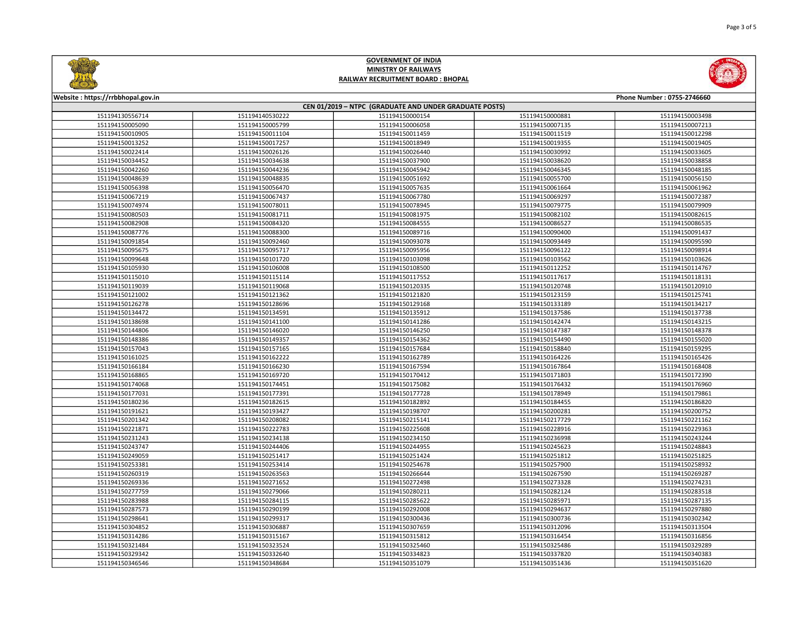



| Website: https://rrbbhopal.gov.in                      |                                    |                                    |                                    | Phone Number: 0755-2746660         |  |
|--------------------------------------------------------|------------------------------------|------------------------------------|------------------------------------|------------------------------------|--|
| CEN 01/2019 - NTPC (GRADUATE AND UNDER GRADUATE POSTS) |                                    |                                    |                                    |                                    |  |
| 151194130556714                                        | 151194140530222                    | 151194150000154                    | 151194150000881                    | 151194150003498                    |  |
| 151194150005090                                        | 151194150005799                    | 151194150006058                    | 151194150007135                    | 151194150007213                    |  |
| 151194150010905                                        | 151194150011104                    | 151194150011459                    | 151194150011519                    | 151194150012298                    |  |
| 151194150013252                                        | 151194150017257                    | 151194150018949                    | 151194150019355                    | 151194150019405                    |  |
| 151194150022414                                        | 151194150026126                    | 151194150026440                    | 151194150030992                    | 151194150033605                    |  |
| 151194150034452                                        | 151194150034638                    | 151194150037900                    | 151194150038620                    | 151194150038858                    |  |
| 151194150042260                                        | 151194150044236                    | 151194150045942                    | 151194150046345                    | 151194150048185                    |  |
| 151194150048639                                        | 151194150048835                    | 151194150051692                    | 151194150055700                    | 151194150056150                    |  |
| 151194150056398                                        | 151194150056470                    | 151194150057635                    | 151194150061664                    | 151194150061962                    |  |
| 151194150067219                                        | 151194150067437                    | 151194150067780                    | 151194150069297                    | 151194150072387                    |  |
| 151194150074974                                        | 151194150078011                    | 151194150078945                    | 151194150079775                    | 151194150079909                    |  |
| 151194150080503                                        | 151194150081711                    | 151194150081975                    | 151194150082102                    | 151194150082615                    |  |
| 151194150082908                                        | 151194150084320                    | 151194150084555                    | 151194150086527                    | 151194150086535                    |  |
| 151194150087776                                        | 151194150088300                    | 151194150089716                    | 151194150090400                    | 151194150091437                    |  |
| 151194150091854                                        | 151194150092460                    | 151194150093078                    | 151194150093449                    | 151194150095590                    |  |
| 151194150095675                                        | 151194150095717                    | 151194150095956                    | 151194150096122                    | 151194150098914                    |  |
| 151194150099648                                        | 151194150101720                    | 151194150103098                    | 151194150103562                    | 151194150103626                    |  |
| 151194150105930                                        | 151194150106008                    | 151194150108500                    | 151194150112252                    | 151194150114767                    |  |
| 151194150115010                                        | 151194150115114                    | 151194150117552                    | 151194150117617                    | 151194150118131                    |  |
| 151194150119039                                        | 151194150119068                    | 151194150120335                    | 151194150120748                    | 151194150120910                    |  |
| 151194150121002                                        | 151194150121362                    | 151194150121820                    | 151194150123159                    | 151194150125741                    |  |
| 151194150126278                                        | 151194150128696                    | 151194150129168                    | 151194150133189                    | 151194150134217                    |  |
| 151194150134472                                        | 151194150134591                    | 151194150135912                    | 151194150137586                    | 151194150137738                    |  |
| 151194150138698                                        | 151194150141100                    | 151194150141286                    | 151194150142474                    | 151194150143215                    |  |
| 151194150144806                                        | 151194150146020                    | 151194150146250                    | 151194150147387                    | 151194150148378                    |  |
| 151194150148386                                        | 151194150149357                    | 151194150154362                    | 151194150154490                    | 151194150155020                    |  |
| 151194150157043                                        | 151194150157165                    | 151194150157684                    | 151194150158840                    | 151194150159295                    |  |
| 151194150161025                                        | 151194150162222                    | 151194150162789                    | 151194150164226                    | 151194150165426                    |  |
| 151194150166184                                        | 151194150166230                    | 151194150167594                    | 151194150167864                    | 151194150168408                    |  |
| 151194150168865                                        | 151194150169720                    | 151194150170412                    | 151194150171803                    | 151194150172390                    |  |
| 151194150174068                                        | 151194150174451                    | 151194150175082                    | 151194150176432                    | 151194150176960                    |  |
| 151194150177031                                        | 151194150177391                    | 151194150177728                    | 151194150178949                    | 151194150179861                    |  |
| 151194150180236                                        | 151194150182615                    | 151194150182892                    | 151194150184455                    | 151194150186820                    |  |
| 151194150191621                                        | 151194150193427                    | 151194150198707                    | 151194150200281                    | 151194150200752                    |  |
| 151194150201342                                        | 151194150208082                    | 151194150215141                    | 151194150217729                    | 151194150221162                    |  |
| 151194150221871                                        | 151194150222783                    | 151194150225608                    | 151194150228916                    | 151194150229363                    |  |
| 151194150231243                                        | 151194150234138                    | 151194150234150                    | 151194150236998                    | 151194150243244                    |  |
| 151194150243747                                        | 151194150244406                    | 151194150244955                    | 151194150245623                    | 151194150248843                    |  |
| 151194150249059                                        | 151194150251417                    | 151194150251424                    | 151194150251812                    | 151194150251825                    |  |
| 151194150253381                                        | 151194150253414                    | 151194150254678                    | 151194150257900                    | 151194150258932                    |  |
| 151194150260319                                        | 151194150263563                    | 151194150266644                    | 151194150267590                    | 151194150269287                    |  |
| 151194150269336                                        | 151194150271652                    | 151194150272498                    | 151194150273328                    | 151194150274231                    |  |
| 151194150277759                                        | 151194150279066                    | 151194150280211                    | 151194150282124                    | 151194150283518                    |  |
| 151194150283988                                        | 151194150284115                    | 151194150285622                    | 151194150285971                    | 151194150287135                    |  |
| 151194150287573                                        | 151194150290199                    | 151194150292008                    | 151194150294637                    | 151194150297880                    |  |
|                                                        |                                    |                                    |                                    |                                    |  |
| 151194150298641                                        | 151194150299317<br>151194150306887 | 151194150300436                    | 151194150300736<br>151194150312096 | 151194150302342                    |  |
| 151194150304852                                        |                                    | 151194150307659                    | 151194150316454                    | 151194150313504                    |  |
| 151194150314286<br>151194150321484                     | 151194150315167<br>151194150323524 | 151194150315812<br>151194150325460 | 151194150325486                    | 151194150316856<br>151194150329289 |  |
| 151194150329342                                        | 151194150332640                    | 151194150334823                    | 151194150337820                    | 151194150340383                    |  |
| 151194150346546                                        | 151194150348684                    | 151194150351079                    | 151194150351436                    | 151194150351620                    |  |
|                                                        |                                    |                                    |                                    |                                    |  |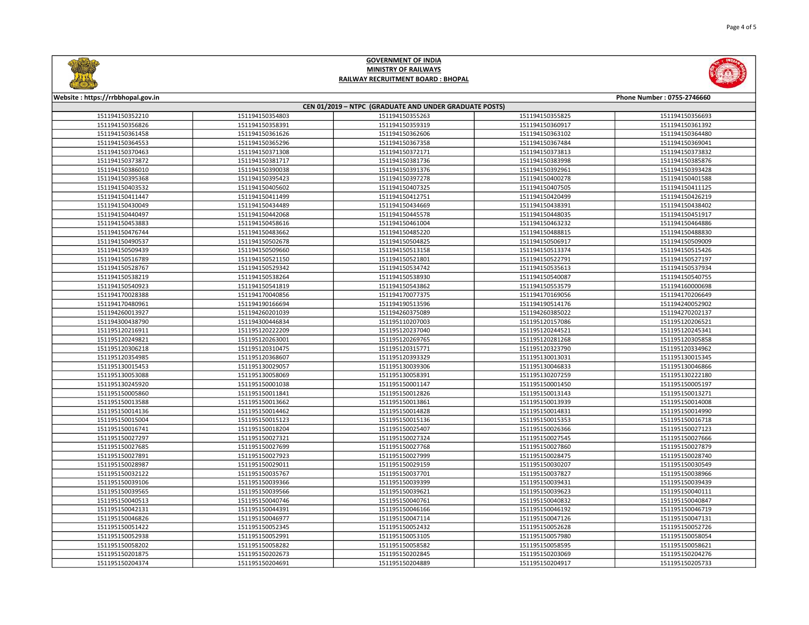



| CEN 01/2019 - NTPC (GRADUATE AND UNDER GRADUATE POSTS)<br>151194150352210<br>151194150354803<br>151194150355263<br>151194150355825<br>151194150356693<br>151194150356826<br>151194150358391<br>151194150359319<br>151194150360917<br>151194150361392<br>151194150361458<br>151194150361626<br>151194150362606<br>151194150363102<br>151194150364480<br>151194150364553<br>151194150365296<br>151194150367358<br>151194150367484<br>151194150369041<br>151194150370463<br>151194150371308<br>151194150372171<br>151194150373813<br>151194150373832<br>151194150373872<br>151194150381717<br>151194150381736<br>151194150383998<br>151194150385876<br>151194150386010<br>151194150390038<br>151194150391376<br>151194150392961<br>151194150393428<br>151194150395368<br>151194150395423<br>151194150397278<br>151194150400278<br>151194150401588<br>151194150405602<br>151194150407505<br>151194150403532<br>151194150407325<br>151194150411125<br>151194150411447<br>151194150411499<br>151194150412751<br>151194150420499<br>151194150426219<br>151194150430049<br>151194150434489<br>151194150434669<br>151194150438391<br>151194150438402<br>151194150440497<br>151194150442068<br>151194150445578<br>151194150448035<br>151194150451917<br>151194150453883<br>151194150458616<br>151194150461004<br>151194150463232<br>151194150464886<br>151194150476744<br>151194150483662<br>151194150485220<br>151194150488815<br>151194150488830<br>151194150502678<br>151194150504825<br>151194150506917<br>151194150490537<br>151194150509009<br>151194150509439<br>151194150509660<br>151194150513158<br>151194150513374<br>151194150515426<br>151194150516789<br>151194150521150<br>151194150521801<br>151194150522791<br>151194150527197<br>151194150528767<br>151194150529342<br>151194150534742<br>151194150535613<br>151194150537934<br>151194150538219<br>151194150538264<br>151194150538930<br>151194150540087<br>151194150540755<br>151194150540923<br>151194150541819<br>151194150543862<br>151194150553579<br>151194160000698<br>151194170028388<br>151194170040856<br>151194170077375<br>151194170169056<br>151194170206649<br>151194170480961<br>151194190166694<br>151194190513596<br>151194190514176<br>151194240052902<br>151194260013927<br>151194260201039<br>151194260375089<br>151194260385022<br>151194270202137<br>151194300438790<br>151194300446834<br>151195110207003<br>151195120157086<br>151195120206521<br>151195120222209<br>151195120237040<br>151195120244521<br>151195120245341<br>151195120216911<br>151195120281268<br>151195120249821<br>151195120263001<br>151195120269765<br>151195120305858<br>151195120306218<br>151195120310475<br>151195120315771<br>151195120323790<br>151195120334962<br>151195120354985<br>151195120368607<br>151195120393329<br>151195130013031<br>151195130015345<br>151195130015453<br>151195130029057<br>151195130039306<br>151195130046833<br>151195130046866<br>151195130058069<br>151195130053088<br>151195130058391<br>151195130207259<br>151195130222180<br>151195130245920<br>151195150001038<br>151195150001147<br>151195150001450<br>151195150005197<br>151195150011841<br>151195150012826<br>151195150013143<br>151195150013271<br>151195150005860<br>151195150013588<br>151195150013662<br>151195150013861<br>151195150013939<br>151195150014008<br>151195150014136<br>151195150014462<br>151195150014828<br>151195150014831<br>151195150014990<br>151195150015004<br>151195150015123<br>151195150015136<br>151195150015353<br>151195150016718<br>151195150016741<br>151195150018204<br>151195150025407<br>151195150026366<br>151195150027123<br>151195150027297<br>151195150027321<br>151195150027324<br>151195150027545<br>151195150027666<br>151195150027699<br>151195150027860<br>151195150027879<br>151195150027685<br>151195150027768<br>151195150027891<br>151195150027923<br>151195150027999<br>151195150028475<br>151195150028740<br>151195150028987<br>151195150029011<br>151195150029159<br>151195150030207<br>151195150030549<br>151195150032122<br>151195150035767<br>151195150037701<br>151195150037827<br>151195150038966<br>151195150039106<br>151195150039366<br>151195150039399<br>151195150039431<br>151195150039439<br>151195150039566<br>151195150039623<br>151195150039565<br>151195150039621<br>151195150040111<br>151195150040513<br>151195150040746<br>151195150040761<br>151195150040832<br>151195150040847<br>151195150042131<br>151195150044391<br>151195150046166<br>151195150046192<br>151195150046719<br>151195150046826<br>151195150046977<br>151195150047114<br>151195150047126<br>151195150047131<br>151195150051422<br>151195150052345<br>151195150052432<br>151195150052628<br>151195150052726<br>151195150052991<br>151195150057980<br>151195150052938<br>151195150053105<br>151195150058054<br>151195150058202<br>151195150058282<br>151195150058582<br>151195150058595<br>151195150058621<br>151195150201875<br>151195150202673<br>151195150202845<br>151195150203069<br>151195150204276<br>151195150204691<br>151195150204889<br>151195150204917<br>151195150205733<br>151195150204374 | Website: https://rrbbhopal.gov.in<br>Phone Number: 0755-2746660 |  |  |  |  |  |
|-----------------------------------------------------------------------------------------------------------------------------------------------------------------------------------------------------------------------------------------------------------------------------------------------------------------------------------------------------------------------------------------------------------------------------------------------------------------------------------------------------------------------------------------------------------------------------------------------------------------------------------------------------------------------------------------------------------------------------------------------------------------------------------------------------------------------------------------------------------------------------------------------------------------------------------------------------------------------------------------------------------------------------------------------------------------------------------------------------------------------------------------------------------------------------------------------------------------------------------------------------------------------------------------------------------------------------------------------------------------------------------------------------------------------------------------------------------------------------------------------------------------------------------------------------------------------------------------------------------------------------------------------------------------------------------------------------------------------------------------------------------------------------------------------------------------------------------------------------------------------------------------------------------------------------------------------------------------------------------------------------------------------------------------------------------------------------------------------------------------------------------------------------------------------------------------------------------------------------------------------------------------------------------------------------------------------------------------------------------------------------------------------------------------------------------------------------------------------------------------------------------------------------------------------------------------------------------------------------------------------------------------------------------------------------------------------------------------------------------------------------------------------------------------------------------------------------------------------------------------------------------------------------------------------------------------------------------------------------------------------------------------------------------------------------------------------------------------------------------------------------------------------------------------------------------------------------------------------------------------------------------------------------------------------------------------------------------------------------------------------------------------------------------------------------------------------------------------------------------------------------------------------------------------------------------------------------------------------------------------------------------------------------------------------------------------------------------------------------------------------------------------------------------------------------------------------------------------------------------------------------------------------------------------------------------------------------------------------------------------------------------------------------------------------------------------------------------------------------------------------------------------------------------------------------------------------------------------------------------------------------------------------------------------------------------------------------------------------------------------------------------------------------------------------------------------------------------------------------------------------------------------------------------------------------------------------------------------------------------------------------------------------------------------------------------------------------------------------------------------------------------------------------------------------------------------------------------------------------------------------------------------------------------------------------------------------------------------------------------------------------------------------------------------------------------------------------------------------------|-----------------------------------------------------------------|--|--|--|--|--|
|                                                                                                                                                                                                                                                                                                                                                                                                                                                                                                                                                                                                                                                                                                                                                                                                                                                                                                                                                                                                                                                                                                                                                                                                                                                                                                                                                                                                                                                                                                                                                                                                                                                                                                                                                                                                                                                                                                                                                                                                                                                                                                                                                                                                                                                                                                                                                                                                                                                                                                                                                                                                                                                                                                                                                                                                                                                                                                                                                                                                                                                                                                                                                                                                                                                                                                                                                                                                                                                                                                                                                                                                                                                                                                                                                                                                                                                                                                                                                                                                                                                                                                                                                                                                                                                                                                                                                                                                                                                                                                                                                                                                                                                                                                                                                                                                                                                                                                                                                                                                                                                                                                     |                                                                 |  |  |  |  |  |
|                                                                                                                                                                                                                                                                                                                                                                                                                                                                                                                                                                                                                                                                                                                                                                                                                                                                                                                                                                                                                                                                                                                                                                                                                                                                                                                                                                                                                                                                                                                                                                                                                                                                                                                                                                                                                                                                                                                                                                                                                                                                                                                                                                                                                                                                                                                                                                                                                                                                                                                                                                                                                                                                                                                                                                                                                                                                                                                                                                                                                                                                                                                                                                                                                                                                                                                                                                                                                                                                                                                                                                                                                                                                                                                                                                                                                                                                                                                                                                                                                                                                                                                                                                                                                                                                                                                                                                                                                                                                                                                                                                                                                                                                                                                                                                                                                                                                                                                                                                                                                                                                                                     |                                                                 |  |  |  |  |  |
|                                                                                                                                                                                                                                                                                                                                                                                                                                                                                                                                                                                                                                                                                                                                                                                                                                                                                                                                                                                                                                                                                                                                                                                                                                                                                                                                                                                                                                                                                                                                                                                                                                                                                                                                                                                                                                                                                                                                                                                                                                                                                                                                                                                                                                                                                                                                                                                                                                                                                                                                                                                                                                                                                                                                                                                                                                                                                                                                                                                                                                                                                                                                                                                                                                                                                                                                                                                                                                                                                                                                                                                                                                                                                                                                                                                                                                                                                                                                                                                                                                                                                                                                                                                                                                                                                                                                                                                                                                                                                                                                                                                                                                                                                                                                                                                                                                                                                                                                                                                                                                                                                                     |                                                                 |  |  |  |  |  |
|                                                                                                                                                                                                                                                                                                                                                                                                                                                                                                                                                                                                                                                                                                                                                                                                                                                                                                                                                                                                                                                                                                                                                                                                                                                                                                                                                                                                                                                                                                                                                                                                                                                                                                                                                                                                                                                                                                                                                                                                                                                                                                                                                                                                                                                                                                                                                                                                                                                                                                                                                                                                                                                                                                                                                                                                                                                                                                                                                                                                                                                                                                                                                                                                                                                                                                                                                                                                                                                                                                                                                                                                                                                                                                                                                                                                                                                                                                                                                                                                                                                                                                                                                                                                                                                                                                                                                                                                                                                                                                                                                                                                                                                                                                                                                                                                                                                                                                                                                                                                                                                                                                     |                                                                 |  |  |  |  |  |
|                                                                                                                                                                                                                                                                                                                                                                                                                                                                                                                                                                                                                                                                                                                                                                                                                                                                                                                                                                                                                                                                                                                                                                                                                                                                                                                                                                                                                                                                                                                                                                                                                                                                                                                                                                                                                                                                                                                                                                                                                                                                                                                                                                                                                                                                                                                                                                                                                                                                                                                                                                                                                                                                                                                                                                                                                                                                                                                                                                                                                                                                                                                                                                                                                                                                                                                                                                                                                                                                                                                                                                                                                                                                                                                                                                                                                                                                                                                                                                                                                                                                                                                                                                                                                                                                                                                                                                                                                                                                                                                                                                                                                                                                                                                                                                                                                                                                                                                                                                                                                                                                                                     |                                                                 |  |  |  |  |  |
|                                                                                                                                                                                                                                                                                                                                                                                                                                                                                                                                                                                                                                                                                                                                                                                                                                                                                                                                                                                                                                                                                                                                                                                                                                                                                                                                                                                                                                                                                                                                                                                                                                                                                                                                                                                                                                                                                                                                                                                                                                                                                                                                                                                                                                                                                                                                                                                                                                                                                                                                                                                                                                                                                                                                                                                                                                                                                                                                                                                                                                                                                                                                                                                                                                                                                                                                                                                                                                                                                                                                                                                                                                                                                                                                                                                                                                                                                                                                                                                                                                                                                                                                                                                                                                                                                                                                                                                                                                                                                                                                                                                                                                                                                                                                                                                                                                                                                                                                                                                                                                                                                                     |                                                                 |  |  |  |  |  |
|                                                                                                                                                                                                                                                                                                                                                                                                                                                                                                                                                                                                                                                                                                                                                                                                                                                                                                                                                                                                                                                                                                                                                                                                                                                                                                                                                                                                                                                                                                                                                                                                                                                                                                                                                                                                                                                                                                                                                                                                                                                                                                                                                                                                                                                                                                                                                                                                                                                                                                                                                                                                                                                                                                                                                                                                                                                                                                                                                                                                                                                                                                                                                                                                                                                                                                                                                                                                                                                                                                                                                                                                                                                                                                                                                                                                                                                                                                                                                                                                                                                                                                                                                                                                                                                                                                                                                                                                                                                                                                                                                                                                                                                                                                                                                                                                                                                                                                                                                                                                                                                                                                     |                                                                 |  |  |  |  |  |
|                                                                                                                                                                                                                                                                                                                                                                                                                                                                                                                                                                                                                                                                                                                                                                                                                                                                                                                                                                                                                                                                                                                                                                                                                                                                                                                                                                                                                                                                                                                                                                                                                                                                                                                                                                                                                                                                                                                                                                                                                                                                                                                                                                                                                                                                                                                                                                                                                                                                                                                                                                                                                                                                                                                                                                                                                                                                                                                                                                                                                                                                                                                                                                                                                                                                                                                                                                                                                                                                                                                                                                                                                                                                                                                                                                                                                                                                                                                                                                                                                                                                                                                                                                                                                                                                                                                                                                                                                                                                                                                                                                                                                                                                                                                                                                                                                                                                                                                                                                                                                                                                                                     |                                                                 |  |  |  |  |  |
|                                                                                                                                                                                                                                                                                                                                                                                                                                                                                                                                                                                                                                                                                                                                                                                                                                                                                                                                                                                                                                                                                                                                                                                                                                                                                                                                                                                                                                                                                                                                                                                                                                                                                                                                                                                                                                                                                                                                                                                                                                                                                                                                                                                                                                                                                                                                                                                                                                                                                                                                                                                                                                                                                                                                                                                                                                                                                                                                                                                                                                                                                                                                                                                                                                                                                                                                                                                                                                                                                                                                                                                                                                                                                                                                                                                                                                                                                                                                                                                                                                                                                                                                                                                                                                                                                                                                                                                                                                                                                                                                                                                                                                                                                                                                                                                                                                                                                                                                                                                                                                                                                                     |                                                                 |  |  |  |  |  |
|                                                                                                                                                                                                                                                                                                                                                                                                                                                                                                                                                                                                                                                                                                                                                                                                                                                                                                                                                                                                                                                                                                                                                                                                                                                                                                                                                                                                                                                                                                                                                                                                                                                                                                                                                                                                                                                                                                                                                                                                                                                                                                                                                                                                                                                                                                                                                                                                                                                                                                                                                                                                                                                                                                                                                                                                                                                                                                                                                                                                                                                                                                                                                                                                                                                                                                                                                                                                                                                                                                                                                                                                                                                                                                                                                                                                                                                                                                                                                                                                                                                                                                                                                                                                                                                                                                                                                                                                                                                                                                                                                                                                                                                                                                                                                                                                                                                                                                                                                                                                                                                                                                     |                                                                 |  |  |  |  |  |
|                                                                                                                                                                                                                                                                                                                                                                                                                                                                                                                                                                                                                                                                                                                                                                                                                                                                                                                                                                                                                                                                                                                                                                                                                                                                                                                                                                                                                                                                                                                                                                                                                                                                                                                                                                                                                                                                                                                                                                                                                                                                                                                                                                                                                                                                                                                                                                                                                                                                                                                                                                                                                                                                                                                                                                                                                                                                                                                                                                                                                                                                                                                                                                                                                                                                                                                                                                                                                                                                                                                                                                                                                                                                                                                                                                                                                                                                                                                                                                                                                                                                                                                                                                                                                                                                                                                                                                                                                                                                                                                                                                                                                                                                                                                                                                                                                                                                                                                                                                                                                                                                                                     |                                                                 |  |  |  |  |  |
|                                                                                                                                                                                                                                                                                                                                                                                                                                                                                                                                                                                                                                                                                                                                                                                                                                                                                                                                                                                                                                                                                                                                                                                                                                                                                                                                                                                                                                                                                                                                                                                                                                                                                                                                                                                                                                                                                                                                                                                                                                                                                                                                                                                                                                                                                                                                                                                                                                                                                                                                                                                                                                                                                                                                                                                                                                                                                                                                                                                                                                                                                                                                                                                                                                                                                                                                                                                                                                                                                                                                                                                                                                                                                                                                                                                                                                                                                                                                                                                                                                                                                                                                                                                                                                                                                                                                                                                                                                                                                                                                                                                                                                                                                                                                                                                                                                                                                                                                                                                                                                                                                                     |                                                                 |  |  |  |  |  |
|                                                                                                                                                                                                                                                                                                                                                                                                                                                                                                                                                                                                                                                                                                                                                                                                                                                                                                                                                                                                                                                                                                                                                                                                                                                                                                                                                                                                                                                                                                                                                                                                                                                                                                                                                                                                                                                                                                                                                                                                                                                                                                                                                                                                                                                                                                                                                                                                                                                                                                                                                                                                                                                                                                                                                                                                                                                                                                                                                                                                                                                                                                                                                                                                                                                                                                                                                                                                                                                                                                                                                                                                                                                                                                                                                                                                                                                                                                                                                                                                                                                                                                                                                                                                                                                                                                                                                                                                                                                                                                                                                                                                                                                                                                                                                                                                                                                                                                                                                                                                                                                                                                     |                                                                 |  |  |  |  |  |
|                                                                                                                                                                                                                                                                                                                                                                                                                                                                                                                                                                                                                                                                                                                                                                                                                                                                                                                                                                                                                                                                                                                                                                                                                                                                                                                                                                                                                                                                                                                                                                                                                                                                                                                                                                                                                                                                                                                                                                                                                                                                                                                                                                                                                                                                                                                                                                                                                                                                                                                                                                                                                                                                                                                                                                                                                                                                                                                                                                                                                                                                                                                                                                                                                                                                                                                                                                                                                                                                                                                                                                                                                                                                                                                                                                                                                                                                                                                                                                                                                                                                                                                                                                                                                                                                                                                                                                                                                                                                                                                                                                                                                                                                                                                                                                                                                                                                                                                                                                                                                                                                                                     |                                                                 |  |  |  |  |  |
|                                                                                                                                                                                                                                                                                                                                                                                                                                                                                                                                                                                                                                                                                                                                                                                                                                                                                                                                                                                                                                                                                                                                                                                                                                                                                                                                                                                                                                                                                                                                                                                                                                                                                                                                                                                                                                                                                                                                                                                                                                                                                                                                                                                                                                                                                                                                                                                                                                                                                                                                                                                                                                                                                                                                                                                                                                                                                                                                                                                                                                                                                                                                                                                                                                                                                                                                                                                                                                                                                                                                                                                                                                                                                                                                                                                                                                                                                                                                                                                                                                                                                                                                                                                                                                                                                                                                                                                                                                                                                                                                                                                                                                                                                                                                                                                                                                                                                                                                                                                                                                                                                                     |                                                                 |  |  |  |  |  |
|                                                                                                                                                                                                                                                                                                                                                                                                                                                                                                                                                                                                                                                                                                                                                                                                                                                                                                                                                                                                                                                                                                                                                                                                                                                                                                                                                                                                                                                                                                                                                                                                                                                                                                                                                                                                                                                                                                                                                                                                                                                                                                                                                                                                                                                                                                                                                                                                                                                                                                                                                                                                                                                                                                                                                                                                                                                                                                                                                                                                                                                                                                                                                                                                                                                                                                                                                                                                                                                                                                                                                                                                                                                                                                                                                                                                                                                                                                                                                                                                                                                                                                                                                                                                                                                                                                                                                                                                                                                                                                                                                                                                                                                                                                                                                                                                                                                                                                                                                                                                                                                                                                     |                                                                 |  |  |  |  |  |
|                                                                                                                                                                                                                                                                                                                                                                                                                                                                                                                                                                                                                                                                                                                                                                                                                                                                                                                                                                                                                                                                                                                                                                                                                                                                                                                                                                                                                                                                                                                                                                                                                                                                                                                                                                                                                                                                                                                                                                                                                                                                                                                                                                                                                                                                                                                                                                                                                                                                                                                                                                                                                                                                                                                                                                                                                                                                                                                                                                                                                                                                                                                                                                                                                                                                                                                                                                                                                                                                                                                                                                                                                                                                                                                                                                                                                                                                                                                                                                                                                                                                                                                                                                                                                                                                                                                                                                                                                                                                                                                                                                                                                                                                                                                                                                                                                                                                                                                                                                                                                                                                                                     |                                                                 |  |  |  |  |  |
|                                                                                                                                                                                                                                                                                                                                                                                                                                                                                                                                                                                                                                                                                                                                                                                                                                                                                                                                                                                                                                                                                                                                                                                                                                                                                                                                                                                                                                                                                                                                                                                                                                                                                                                                                                                                                                                                                                                                                                                                                                                                                                                                                                                                                                                                                                                                                                                                                                                                                                                                                                                                                                                                                                                                                                                                                                                                                                                                                                                                                                                                                                                                                                                                                                                                                                                                                                                                                                                                                                                                                                                                                                                                                                                                                                                                                                                                                                                                                                                                                                                                                                                                                                                                                                                                                                                                                                                                                                                                                                                                                                                                                                                                                                                                                                                                                                                                                                                                                                                                                                                                                                     |                                                                 |  |  |  |  |  |
|                                                                                                                                                                                                                                                                                                                                                                                                                                                                                                                                                                                                                                                                                                                                                                                                                                                                                                                                                                                                                                                                                                                                                                                                                                                                                                                                                                                                                                                                                                                                                                                                                                                                                                                                                                                                                                                                                                                                                                                                                                                                                                                                                                                                                                                                                                                                                                                                                                                                                                                                                                                                                                                                                                                                                                                                                                                                                                                                                                                                                                                                                                                                                                                                                                                                                                                                                                                                                                                                                                                                                                                                                                                                                                                                                                                                                                                                                                                                                                                                                                                                                                                                                                                                                                                                                                                                                                                                                                                                                                                                                                                                                                                                                                                                                                                                                                                                                                                                                                                                                                                                                                     |                                                                 |  |  |  |  |  |
|                                                                                                                                                                                                                                                                                                                                                                                                                                                                                                                                                                                                                                                                                                                                                                                                                                                                                                                                                                                                                                                                                                                                                                                                                                                                                                                                                                                                                                                                                                                                                                                                                                                                                                                                                                                                                                                                                                                                                                                                                                                                                                                                                                                                                                                                                                                                                                                                                                                                                                                                                                                                                                                                                                                                                                                                                                                                                                                                                                                                                                                                                                                                                                                                                                                                                                                                                                                                                                                                                                                                                                                                                                                                                                                                                                                                                                                                                                                                                                                                                                                                                                                                                                                                                                                                                                                                                                                                                                                                                                                                                                                                                                                                                                                                                                                                                                                                                                                                                                                                                                                                                                     |                                                                 |  |  |  |  |  |
|                                                                                                                                                                                                                                                                                                                                                                                                                                                                                                                                                                                                                                                                                                                                                                                                                                                                                                                                                                                                                                                                                                                                                                                                                                                                                                                                                                                                                                                                                                                                                                                                                                                                                                                                                                                                                                                                                                                                                                                                                                                                                                                                                                                                                                                                                                                                                                                                                                                                                                                                                                                                                                                                                                                                                                                                                                                                                                                                                                                                                                                                                                                                                                                                                                                                                                                                                                                                                                                                                                                                                                                                                                                                                                                                                                                                                                                                                                                                                                                                                                                                                                                                                                                                                                                                                                                                                                                                                                                                                                                                                                                                                                                                                                                                                                                                                                                                                                                                                                                                                                                                                                     |                                                                 |  |  |  |  |  |
|                                                                                                                                                                                                                                                                                                                                                                                                                                                                                                                                                                                                                                                                                                                                                                                                                                                                                                                                                                                                                                                                                                                                                                                                                                                                                                                                                                                                                                                                                                                                                                                                                                                                                                                                                                                                                                                                                                                                                                                                                                                                                                                                                                                                                                                                                                                                                                                                                                                                                                                                                                                                                                                                                                                                                                                                                                                                                                                                                                                                                                                                                                                                                                                                                                                                                                                                                                                                                                                                                                                                                                                                                                                                                                                                                                                                                                                                                                                                                                                                                                                                                                                                                                                                                                                                                                                                                                                                                                                                                                                                                                                                                                                                                                                                                                                                                                                                                                                                                                                                                                                                                                     |                                                                 |  |  |  |  |  |
|                                                                                                                                                                                                                                                                                                                                                                                                                                                                                                                                                                                                                                                                                                                                                                                                                                                                                                                                                                                                                                                                                                                                                                                                                                                                                                                                                                                                                                                                                                                                                                                                                                                                                                                                                                                                                                                                                                                                                                                                                                                                                                                                                                                                                                                                                                                                                                                                                                                                                                                                                                                                                                                                                                                                                                                                                                                                                                                                                                                                                                                                                                                                                                                                                                                                                                                                                                                                                                                                                                                                                                                                                                                                                                                                                                                                                                                                                                                                                                                                                                                                                                                                                                                                                                                                                                                                                                                                                                                                                                                                                                                                                                                                                                                                                                                                                                                                                                                                                                                                                                                                                                     |                                                                 |  |  |  |  |  |
|                                                                                                                                                                                                                                                                                                                                                                                                                                                                                                                                                                                                                                                                                                                                                                                                                                                                                                                                                                                                                                                                                                                                                                                                                                                                                                                                                                                                                                                                                                                                                                                                                                                                                                                                                                                                                                                                                                                                                                                                                                                                                                                                                                                                                                                                                                                                                                                                                                                                                                                                                                                                                                                                                                                                                                                                                                                                                                                                                                                                                                                                                                                                                                                                                                                                                                                                                                                                                                                                                                                                                                                                                                                                                                                                                                                                                                                                                                                                                                                                                                                                                                                                                                                                                                                                                                                                                                                                                                                                                                                                                                                                                                                                                                                                                                                                                                                                                                                                                                                                                                                                                                     |                                                                 |  |  |  |  |  |
|                                                                                                                                                                                                                                                                                                                                                                                                                                                                                                                                                                                                                                                                                                                                                                                                                                                                                                                                                                                                                                                                                                                                                                                                                                                                                                                                                                                                                                                                                                                                                                                                                                                                                                                                                                                                                                                                                                                                                                                                                                                                                                                                                                                                                                                                                                                                                                                                                                                                                                                                                                                                                                                                                                                                                                                                                                                                                                                                                                                                                                                                                                                                                                                                                                                                                                                                                                                                                                                                                                                                                                                                                                                                                                                                                                                                                                                                                                                                                                                                                                                                                                                                                                                                                                                                                                                                                                                                                                                                                                                                                                                                                                                                                                                                                                                                                                                                                                                                                                                                                                                                                                     |                                                                 |  |  |  |  |  |
|                                                                                                                                                                                                                                                                                                                                                                                                                                                                                                                                                                                                                                                                                                                                                                                                                                                                                                                                                                                                                                                                                                                                                                                                                                                                                                                                                                                                                                                                                                                                                                                                                                                                                                                                                                                                                                                                                                                                                                                                                                                                                                                                                                                                                                                                                                                                                                                                                                                                                                                                                                                                                                                                                                                                                                                                                                                                                                                                                                                                                                                                                                                                                                                                                                                                                                                                                                                                                                                                                                                                                                                                                                                                                                                                                                                                                                                                                                                                                                                                                                                                                                                                                                                                                                                                                                                                                                                                                                                                                                                                                                                                                                                                                                                                                                                                                                                                                                                                                                                                                                                                                                     |                                                                 |  |  |  |  |  |
|                                                                                                                                                                                                                                                                                                                                                                                                                                                                                                                                                                                                                                                                                                                                                                                                                                                                                                                                                                                                                                                                                                                                                                                                                                                                                                                                                                                                                                                                                                                                                                                                                                                                                                                                                                                                                                                                                                                                                                                                                                                                                                                                                                                                                                                                                                                                                                                                                                                                                                                                                                                                                                                                                                                                                                                                                                                                                                                                                                                                                                                                                                                                                                                                                                                                                                                                                                                                                                                                                                                                                                                                                                                                                                                                                                                                                                                                                                                                                                                                                                                                                                                                                                                                                                                                                                                                                                                                                                                                                                                                                                                                                                                                                                                                                                                                                                                                                                                                                                                                                                                                                                     |                                                                 |  |  |  |  |  |
|                                                                                                                                                                                                                                                                                                                                                                                                                                                                                                                                                                                                                                                                                                                                                                                                                                                                                                                                                                                                                                                                                                                                                                                                                                                                                                                                                                                                                                                                                                                                                                                                                                                                                                                                                                                                                                                                                                                                                                                                                                                                                                                                                                                                                                                                                                                                                                                                                                                                                                                                                                                                                                                                                                                                                                                                                                                                                                                                                                                                                                                                                                                                                                                                                                                                                                                                                                                                                                                                                                                                                                                                                                                                                                                                                                                                                                                                                                                                                                                                                                                                                                                                                                                                                                                                                                                                                                                                                                                                                                                                                                                                                                                                                                                                                                                                                                                                                                                                                                                                                                                                                                     |                                                                 |  |  |  |  |  |
|                                                                                                                                                                                                                                                                                                                                                                                                                                                                                                                                                                                                                                                                                                                                                                                                                                                                                                                                                                                                                                                                                                                                                                                                                                                                                                                                                                                                                                                                                                                                                                                                                                                                                                                                                                                                                                                                                                                                                                                                                                                                                                                                                                                                                                                                                                                                                                                                                                                                                                                                                                                                                                                                                                                                                                                                                                                                                                                                                                                                                                                                                                                                                                                                                                                                                                                                                                                                                                                                                                                                                                                                                                                                                                                                                                                                                                                                                                                                                                                                                                                                                                                                                                                                                                                                                                                                                                                                                                                                                                                                                                                                                                                                                                                                                                                                                                                                                                                                                                                                                                                                                                     |                                                                 |  |  |  |  |  |
|                                                                                                                                                                                                                                                                                                                                                                                                                                                                                                                                                                                                                                                                                                                                                                                                                                                                                                                                                                                                                                                                                                                                                                                                                                                                                                                                                                                                                                                                                                                                                                                                                                                                                                                                                                                                                                                                                                                                                                                                                                                                                                                                                                                                                                                                                                                                                                                                                                                                                                                                                                                                                                                                                                                                                                                                                                                                                                                                                                                                                                                                                                                                                                                                                                                                                                                                                                                                                                                                                                                                                                                                                                                                                                                                                                                                                                                                                                                                                                                                                                                                                                                                                                                                                                                                                                                                                                                                                                                                                                                                                                                                                                                                                                                                                                                                                                                                                                                                                                                                                                                                                                     |                                                                 |  |  |  |  |  |
|                                                                                                                                                                                                                                                                                                                                                                                                                                                                                                                                                                                                                                                                                                                                                                                                                                                                                                                                                                                                                                                                                                                                                                                                                                                                                                                                                                                                                                                                                                                                                                                                                                                                                                                                                                                                                                                                                                                                                                                                                                                                                                                                                                                                                                                                                                                                                                                                                                                                                                                                                                                                                                                                                                                                                                                                                                                                                                                                                                                                                                                                                                                                                                                                                                                                                                                                                                                                                                                                                                                                                                                                                                                                                                                                                                                                                                                                                                                                                                                                                                                                                                                                                                                                                                                                                                                                                                                                                                                                                                                                                                                                                                                                                                                                                                                                                                                                                                                                                                                                                                                                                                     |                                                                 |  |  |  |  |  |
|                                                                                                                                                                                                                                                                                                                                                                                                                                                                                                                                                                                                                                                                                                                                                                                                                                                                                                                                                                                                                                                                                                                                                                                                                                                                                                                                                                                                                                                                                                                                                                                                                                                                                                                                                                                                                                                                                                                                                                                                                                                                                                                                                                                                                                                                                                                                                                                                                                                                                                                                                                                                                                                                                                                                                                                                                                                                                                                                                                                                                                                                                                                                                                                                                                                                                                                                                                                                                                                                                                                                                                                                                                                                                                                                                                                                                                                                                                                                                                                                                                                                                                                                                                                                                                                                                                                                                                                                                                                                                                                                                                                                                                                                                                                                                                                                                                                                                                                                                                                                                                                                                                     |                                                                 |  |  |  |  |  |
|                                                                                                                                                                                                                                                                                                                                                                                                                                                                                                                                                                                                                                                                                                                                                                                                                                                                                                                                                                                                                                                                                                                                                                                                                                                                                                                                                                                                                                                                                                                                                                                                                                                                                                                                                                                                                                                                                                                                                                                                                                                                                                                                                                                                                                                                                                                                                                                                                                                                                                                                                                                                                                                                                                                                                                                                                                                                                                                                                                                                                                                                                                                                                                                                                                                                                                                                                                                                                                                                                                                                                                                                                                                                                                                                                                                                                                                                                                                                                                                                                                                                                                                                                                                                                                                                                                                                                                                                                                                                                                                                                                                                                                                                                                                                                                                                                                                                                                                                                                                                                                                                                                     |                                                                 |  |  |  |  |  |
|                                                                                                                                                                                                                                                                                                                                                                                                                                                                                                                                                                                                                                                                                                                                                                                                                                                                                                                                                                                                                                                                                                                                                                                                                                                                                                                                                                                                                                                                                                                                                                                                                                                                                                                                                                                                                                                                                                                                                                                                                                                                                                                                                                                                                                                                                                                                                                                                                                                                                                                                                                                                                                                                                                                                                                                                                                                                                                                                                                                                                                                                                                                                                                                                                                                                                                                                                                                                                                                                                                                                                                                                                                                                                                                                                                                                                                                                                                                                                                                                                                                                                                                                                                                                                                                                                                                                                                                                                                                                                                                                                                                                                                                                                                                                                                                                                                                                                                                                                                                                                                                                                                     |                                                                 |  |  |  |  |  |
|                                                                                                                                                                                                                                                                                                                                                                                                                                                                                                                                                                                                                                                                                                                                                                                                                                                                                                                                                                                                                                                                                                                                                                                                                                                                                                                                                                                                                                                                                                                                                                                                                                                                                                                                                                                                                                                                                                                                                                                                                                                                                                                                                                                                                                                                                                                                                                                                                                                                                                                                                                                                                                                                                                                                                                                                                                                                                                                                                                                                                                                                                                                                                                                                                                                                                                                                                                                                                                                                                                                                                                                                                                                                                                                                                                                                                                                                                                                                                                                                                                                                                                                                                                                                                                                                                                                                                                                                                                                                                                                                                                                                                                                                                                                                                                                                                                                                                                                                                                                                                                                                                                     |                                                                 |  |  |  |  |  |
|                                                                                                                                                                                                                                                                                                                                                                                                                                                                                                                                                                                                                                                                                                                                                                                                                                                                                                                                                                                                                                                                                                                                                                                                                                                                                                                                                                                                                                                                                                                                                                                                                                                                                                                                                                                                                                                                                                                                                                                                                                                                                                                                                                                                                                                                                                                                                                                                                                                                                                                                                                                                                                                                                                                                                                                                                                                                                                                                                                                                                                                                                                                                                                                                                                                                                                                                                                                                                                                                                                                                                                                                                                                                                                                                                                                                                                                                                                                                                                                                                                                                                                                                                                                                                                                                                                                                                                                                                                                                                                                                                                                                                                                                                                                                                                                                                                                                                                                                                                                                                                                                                                     |                                                                 |  |  |  |  |  |
|                                                                                                                                                                                                                                                                                                                                                                                                                                                                                                                                                                                                                                                                                                                                                                                                                                                                                                                                                                                                                                                                                                                                                                                                                                                                                                                                                                                                                                                                                                                                                                                                                                                                                                                                                                                                                                                                                                                                                                                                                                                                                                                                                                                                                                                                                                                                                                                                                                                                                                                                                                                                                                                                                                                                                                                                                                                                                                                                                                                                                                                                                                                                                                                                                                                                                                                                                                                                                                                                                                                                                                                                                                                                                                                                                                                                                                                                                                                                                                                                                                                                                                                                                                                                                                                                                                                                                                                                                                                                                                                                                                                                                                                                                                                                                                                                                                                                                                                                                                                                                                                                                                     |                                                                 |  |  |  |  |  |
|                                                                                                                                                                                                                                                                                                                                                                                                                                                                                                                                                                                                                                                                                                                                                                                                                                                                                                                                                                                                                                                                                                                                                                                                                                                                                                                                                                                                                                                                                                                                                                                                                                                                                                                                                                                                                                                                                                                                                                                                                                                                                                                                                                                                                                                                                                                                                                                                                                                                                                                                                                                                                                                                                                                                                                                                                                                                                                                                                                                                                                                                                                                                                                                                                                                                                                                                                                                                                                                                                                                                                                                                                                                                                                                                                                                                                                                                                                                                                                                                                                                                                                                                                                                                                                                                                                                                                                                                                                                                                                                                                                                                                                                                                                                                                                                                                                                                                                                                                                                                                                                                                                     |                                                                 |  |  |  |  |  |
|                                                                                                                                                                                                                                                                                                                                                                                                                                                                                                                                                                                                                                                                                                                                                                                                                                                                                                                                                                                                                                                                                                                                                                                                                                                                                                                                                                                                                                                                                                                                                                                                                                                                                                                                                                                                                                                                                                                                                                                                                                                                                                                                                                                                                                                                                                                                                                                                                                                                                                                                                                                                                                                                                                                                                                                                                                                                                                                                                                                                                                                                                                                                                                                                                                                                                                                                                                                                                                                                                                                                                                                                                                                                                                                                                                                                                                                                                                                                                                                                                                                                                                                                                                                                                                                                                                                                                                                                                                                                                                                                                                                                                                                                                                                                                                                                                                                                                                                                                                                                                                                                                                     |                                                                 |  |  |  |  |  |
|                                                                                                                                                                                                                                                                                                                                                                                                                                                                                                                                                                                                                                                                                                                                                                                                                                                                                                                                                                                                                                                                                                                                                                                                                                                                                                                                                                                                                                                                                                                                                                                                                                                                                                                                                                                                                                                                                                                                                                                                                                                                                                                                                                                                                                                                                                                                                                                                                                                                                                                                                                                                                                                                                                                                                                                                                                                                                                                                                                                                                                                                                                                                                                                                                                                                                                                                                                                                                                                                                                                                                                                                                                                                                                                                                                                                                                                                                                                                                                                                                                                                                                                                                                                                                                                                                                                                                                                                                                                                                                                                                                                                                                                                                                                                                                                                                                                                                                                                                                                                                                                                                                     |                                                                 |  |  |  |  |  |
|                                                                                                                                                                                                                                                                                                                                                                                                                                                                                                                                                                                                                                                                                                                                                                                                                                                                                                                                                                                                                                                                                                                                                                                                                                                                                                                                                                                                                                                                                                                                                                                                                                                                                                                                                                                                                                                                                                                                                                                                                                                                                                                                                                                                                                                                                                                                                                                                                                                                                                                                                                                                                                                                                                                                                                                                                                                                                                                                                                                                                                                                                                                                                                                                                                                                                                                                                                                                                                                                                                                                                                                                                                                                                                                                                                                                                                                                                                                                                                                                                                                                                                                                                                                                                                                                                                                                                                                                                                                                                                                                                                                                                                                                                                                                                                                                                                                                                                                                                                                                                                                                                                     |                                                                 |  |  |  |  |  |
|                                                                                                                                                                                                                                                                                                                                                                                                                                                                                                                                                                                                                                                                                                                                                                                                                                                                                                                                                                                                                                                                                                                                                                                                                                                                                                                                                                                                                                                                                                                                                                                                                                                                                                                                                                                                                                                                                                                                                                                                                                                                                                                                                                                                                                                                                                                                                                                                                                                                                                                                                                                                                                                                                                                                                                                                                                                                                                                                                                                                                                                                                                                                                                                                                                                                                                                                                                                                                                                                                                                                                                                                                                                                                                                                                                                                                                                                                                                                                                                                                                                                                                                                                                                                                                                                                                                                                                                                                                                                                                                                                                                                                                                                                                                                                                                                                                                                                                                                                                                                                                                                                                     |                                                                 |  |  |  |  |  |
|                                                                                                                                                                                                                                                                                                                                                                                                                                                                                                                                                                                                                                                                                                                                                                                                                                                                                                                                                                                                                                                                                                                                                                                                                                                                                                                                                                                                                                                                                                                                                                                                                                                                                                                                                                                                                                                                                                                                                                                                                                                                                                                                                                                                                                                                                                                                                                                                                                                                                                                                                                                                                                                                                                                                                                                                                                                                                                                                                                                                                                                                                                                                                                                                                                                                                                                                                                                                                                                                                                                                                                                                                                                                                                                                                                                                                                                                                                                                                                                                                                                                                                                                                                                                                                                                                                                                                                                                                                                                                                                                                                                                                                                                                                                                                                                                                                                                                                                                                                                                                                                                                                     |                                                                 |  |  |  |  |  |
|                                                                                                                                                                                                                                                                                                                                                                                                                                                                                                                                                                                                                                                                                                                                                                                                                                                                                                                                                                                                                                                                                                                                                                                                                                                                                                                                                                                                                                                                                                                                                                                                                                                                                                                                                                                                                                                                                                                                                                                                                                                                                                                                                                                                                                                                                                                                                                                                                                                                                                                                                                                                                                                                                                                                                                                                                                                                                                                                                                                                                                                                                                                                                                                                                                                                                                                                                                                                                                                                                                                                                                                                                                                                                                                                                                                                                                                                                                                                                                                                                                                                                                                                                                                                                                                                                                                                                                                                                                                                                                                                                                                                                                                                                                                                                                                                                                                                                                                                                                                                                                                                                                     |                                                                 |  |  |  |  |  |
|                                                                                                                                                                                                                                                                                                                                                                                                                                                                                                                                                                                                                                                                                                                                                                                                                                                                                                                                                                                                                                                                                                                                                                                                                                                                                                                                                                                                                                                                                                                                                                                                                                                                                                                                                                                                                                                                                                                                                                                                                                                                                                                                                                                                                                                                                                                                                                                                                                                                                                                                                                                                                                                                                                                                                                                                                                                                                                                                                                                                                                                                                                                                                                                                                                                                                                                                                                                                                                                                                                                                                                                                                                                                                                                                                                                                                                                                                                                                                                                                                                                                                                                                                                                                                                                                                                                                                                                                                                                                                                                                                                                                                                                                                                                                                                                                                                                                                                                                                                                                                                                                                                     |                                                                 |  |  |  |  |  |
|                                                                                                                                                                                                                                                                                                                                                                                                                                                                                                                                                                                                                                                                                                                                                                                                                                                                                                                                                                                                                                                                                                                                                                                                                                                                                                                                                                                                                                                                                                                                                                                                                                                                                                                                                                                                                                                                                                                                                                                                                                                                                                                                                                                                                                                                                                                                                                                                                                                                                                                                                                                                                                                                                                                                                                                                                                                                                                                                                                                                                                                                                                                                                                                                                                                                                                                                                                                                                                                                                                                                                                                                                                                                                                                                                                                                                                                                                                                                                                                                                                                                                                                                                                                                                                                                                                                                                                                                                                                                                                                                                                                                                                                                                                                                                                                                                                                                                                                                                                                                                                                                                                     |                                                                 |  |  |  |  |  |
|                                                                                                                                                                                                                                                                                                                                                                                                                                                                                                                                                                                                                                                                                                                                                                                                                                                                                                                                                                                                                                                                                                                                                                                                                                                                                                                                                                                                                                                                                                                                                                                                                                                                                                                                                                                                                                                                                                                                                                                                                                                                                                                                                                                                                                                                                                                                                                                                                                                                                                                                                                                                                                                                                                                                                                                                                                                                                                                                                                                                                                                                                                                                                                                                                                                                                                                                                                                                                                                                                                                                                                                                                                                                                                                                                                                                                                                                                                                                                                                                                                                                                                                                                                                                                                                                                                                                                                                                                                                                                                                                                                                                                                                                                                                                                                                                                                                                                                                                                                                                                                                                                                     |                                                                 |  |  |  |  |  |
|                                                                                                                                                                                                                                                                                                                                                                                                                                                                                                                                                                                                                                                                                                                                                                                                                                                                                                                                                                                                                                                                                                                                                                                                                                                                                                                                                                                                                                                                                                                                                                                                                                                                                                                                                                                                                                                                                                                                                                                                                                                                                                                                                                                                                                                                                                                                                                                                                                                                                                                                                                                                                                                                                                                                                                                                                                                                                                                                                                                                                                                                                                                                                                                                                                                                                                                                                                                                                                                                                                                                                                                                                                                                                                                                                                                                                                                                                                                                                                                                                                                                                                                                                                                                                                                                                                                                                                                                                                                                                                                                                                                                                                                                                                                                                                                                                                                                                                                                                                                                                                                                                                     |                                                                 |  |  |  |  |  |
|                                                                                                                                                                                                                                                                                                                                                                                                                                                                                                                                                                                                                                                                                                                                                                                                                                                                                                                                                                                                                                                                                                                                                                                                                                                                                                                                                                                                                                                                                                                                                                                                                                                                                                                                                                                                                                                                                                                                                                                                                                                                                                                                                                                                                                                                                                                                                                                                                                                                                                                                                                                                                                                                                                                                                                                                                                                                                                                                                                                                                                                                                                                                                                                                                                                                                                                                                                                                                                                                                                                                                                                                                                                                                                                                                                                                                                                                                                                                                                                                                                                                                                                                                                                                                                                                                                                                                                                                                                                                                                                                                                                                                                                                                                                                                                                                                                                                                                                                                                                                                                                                                                     |                                                                 |  |  |  |  |  |
|                                                                                                                                                                                                                                                                                                                                                                                                                                                                                                                                                                                                                                                                                                                                                                                                                                                                                                                                                                                                                                                                                                                                                                                                                                                                                                                                                                                                                                                                                                                                                                                                                                                                                                                                                                                                                                                                                                                                                                                                                                                                                                                                                                                                                                                                                                                                                                                                                                                                                                                                                                                                                                                                                                                                                                                                                                                                                                                                                                                                                                                                                                                                                                                                                                                                                                                                                                                                                                                                                                                                                                                                                                                                                                                                                                                                                                                                                                                                                                                                                                                                                                                                                                                                                                                                                                                                                                                                                                                                                                                                                                                                                                                                                                                                                                                                                                                                                                                                                                                                                                                                                                     |                                                                 |  |  |  |  |  |
|                                                                                                                                                                                                                                                                                                                                                                                                                                                                                                                                                                                                                                                                                                                                                                                                                                                                                                                                                                                                                                                                                                                                                                                                                                                                                                                                                                                                                                                                                                                                                                                                                                                                                                                                                                                                                                                                                                                                                                                                                                                                                                                                                                                                                                                                                                                                                                                                                                                                                                                                                                                                                                                                                                                                                                                                                                                                                                                                                                                                                                                                                                                                                                                                                                                                                                                                                                                                                                                                                                                                                                                                                                                                                                                                                                                                                                                                                                                                                                                                                                                                                                                                                                                                                                                                                                                                                                                                                                                                                                                                                                                                                                                                                                                                                                                                                                                                                                                                                                                                                                                                                                     |                                                                 |  |  |  |  |  |
|                                                                                                                                                                                                                                                                                                                                                                                                                                                                                                                                                                                                                                                                                                                                                                                                                                                                                                                                                                                                                                                                                                                                                                                                                                                                                                                                                                                                                                                                                                                                                                                                                                                                                                                                                                                                                                                                                                                                                                                                                                                                                                                                                                                                                                                                                                                                                                                                                                                                                                                                                                                                                                                                                                                                                                                                                                                                                                                                                                                                                                                                                                                                                                                                                                                                                                                                                                                                                                                                                                                                                                                                                                                                                                                                                                                                                                                                                                                                                                                                                                                                                                                                                                                                                                                                                                                                                                                                                                                                                                                                                                                                                                                                                                                                                                                                                                                                                                                                                                                                                                                                                                     |                                                                 |  |  |  |  |  |